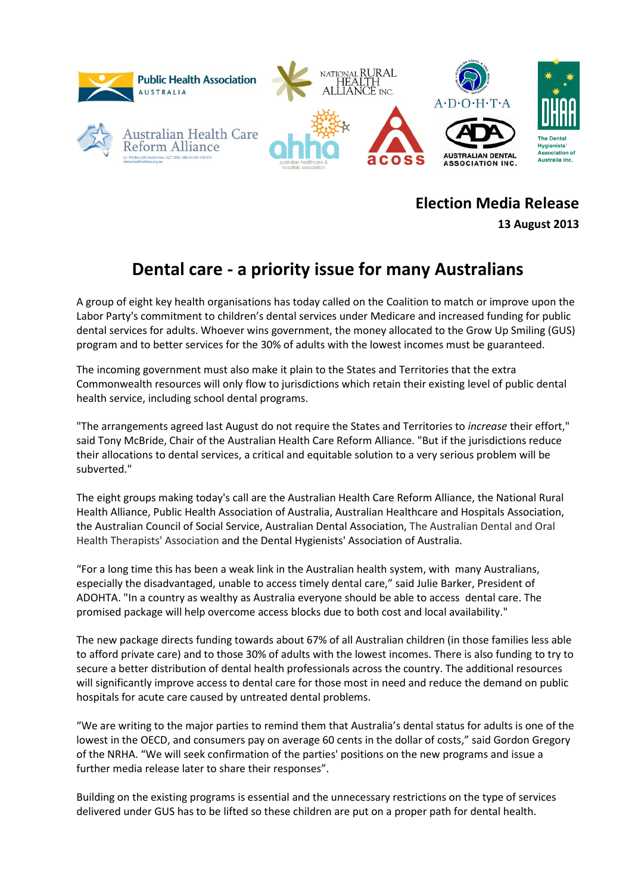

**Election Media Release**

**13 August 2013**

## **Dental care - a priority issue for many Australians**

A group of eight key health organisations has today called on the Coalition to match or improve upon the Labor Party's commitment to children's dental services under Medicare and increased funding for public dental services for adults. Whoever wins government, the money allocated to the Grow Up Smiling (GUS) program and to better services for the 30% of adults with the lowest incomes must be guaranteed.

The incoming government must also make it plain to the States and Territories that the extra Commonwealth resources will only flow to jurisdictions which retain their existing level of public dental health service, including school dental programs.

"The arrangements agreed last August do not require the States and Territories to *increase* their effort," said Tony McBride, Chair of the Australian Health Care Reform Alliance. "But if the jurisdictions reduce their allocations to dental services, a critical and equitable solution to a very serious problem will be subverted."

The eight groups making today's call are the Australian Health Care Reform Alliance, the National Rural Health Alliance, Public Health Association of Australia, Australian Healthcare and Hospitals Association, the Australian Council of Social Service, Australian Dental Association, The Australian Dental and Oral Health Therapists' Association and the Dental Hygienists' Association of Australia.

"For a long time this has been a weak link in the Australian health system, with many Australians, especially the disadvantaged, unable to access timely dental care," said Julie Barker, President of ADOHTA. "In a country as wealthy as Australia everyone should be able to access dental care. The promised package will help overcome access blocks due to both cost and local availability."

The new package directs funding towards about 67% of all Australian children (in those families less able to afford private care) and to those 30% of adults with the lowest incomes. There is also funding to try to secure a better distribution of dental health professionals across the country. The additional resources will significantly improve access to dental care for those most in need and reduce the demand on public hospitals for acute care caused by untreated dental problems.

"We are writing to the major parties to remind them that Australia's dental status for adults is one of the lowest in the OECD, and consumers pay on average 60 cents in the dollar of costs," said Gordon Gregory of the NRHA. "We will seek confirmation of the parties' positions on the new programs and issue a further media release later to share their responses".

Building on the existing programs is essential and the unnecessary restrictions on the type of services delivered under GUS has to be lifted so these children are put on a proper path for dental health.